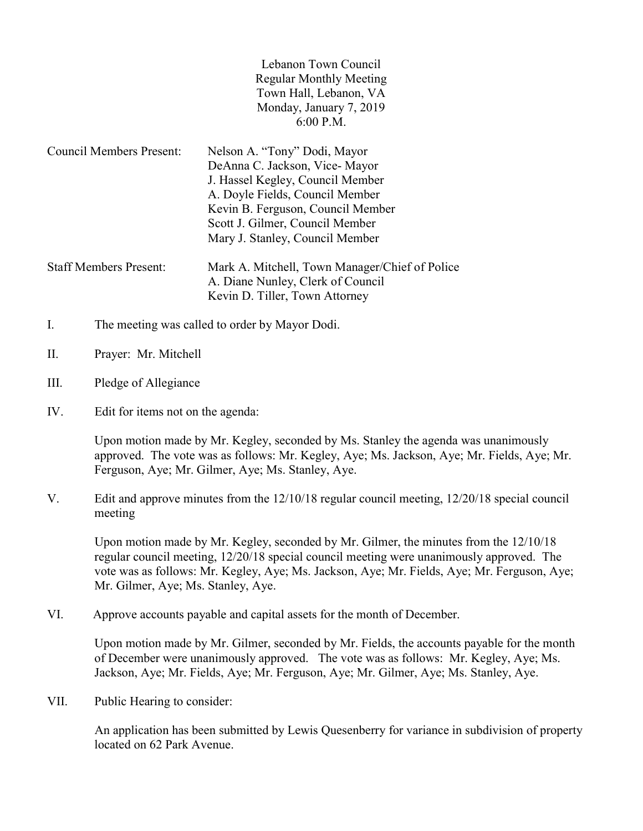| Lebanon Town Council           |
|--------------------------------|
| <b>Regular Monthly Meeting</b> |
| Town Hall, Lebanon, VA         |
| Monday, January 7, 2019        |
| $6:00$ P.M.                    |
|                                |

Council Members Present: Nelson A. "Tony" Dodi, Mayor DeAnna C. Jackson, Vice- Mayor J. Hassel Kegley, Council Member A. Doyle Fields, Council Member Kevin B. Ferguson, Council Member Scott J. Gilmer, Council Member Mary J. Stanley, Council Member Staff Members Present: Mark A. Mitchell, Town Manager/Chief of Police A. Diane Nunley, Clerk of Council

Kevin D. Tiller, Town Attorney

- I. The meeting was called to order by Mayor Dodi.
- II. Prayer: Mr. Mitchell
- III. Pledge of Allegiance
- IV. Edit for items not on the agenda:

Upon motion made by Mr. Kegley, seconded by Ms. Stanley the agenda was unanimously approved. The vote was as follows: Mr. Kegley, Aye; Ms. Jackson, Aye; Mr. Fields, Aye; Mr. Ferguson, Aye; Mr. Gilmer, Aye; Ms. Stanley, Aye.

V. Edit and approve minutes from the 12/10/18 regular council meeting, 12/20/18 special council meeting

 Upon motion made by Mr. Kegley, seconded by Mr. Gilmer, the minutes from the 12/10/18 regular council meeting, 12/20/18 special council meeting were unanimously approved. The vote was as follows: Mr. Kegley, Aye; Ms. Jackson, Aye; Mr. Fields, Aye; Mr. Ferguson, Aye; Mr. Gilmer, Aye; Ms. Stanley, Aye.

VI. Approve accounts payable and capital assets for the month of December.

Upon motion made by Mr. Gilmer, seconded by Mr. Fields, the accounts payable for the month of December were unanimously approved. The vote was as follows: Mr. Kegley, Aye; Ms. Jackson, Aye; Mr. Fields, Aye; Mr. Ferguson, Aye; Mr. Gilmer, Aye; Ms. Stanley, Aye.

VII. Public Hearing to consider:

 An application has been submitted by Lewis Quesenberry for variance in subdivision of property located on 62 Park Avenue.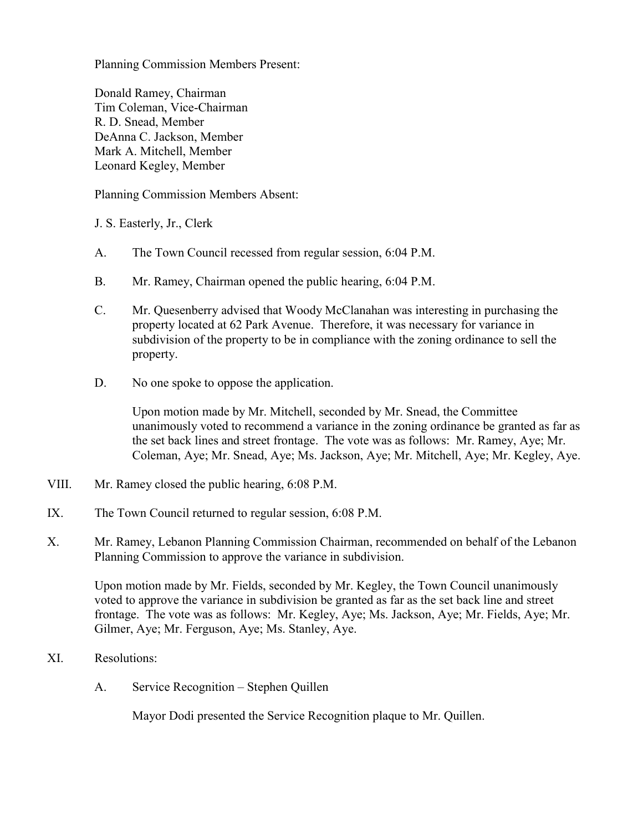Planning Commission Members Present:

 Donald Ramey, Chairman Tim Coleman, Vice-Chairman R. D. Snead, Member DeAnna C. Jackson, Member Mark A. Mitchell, Member Leonard Kegley, Member

Planning Commission Members Absent:

J. S. Easterly, Jr., Clerk

- A. The Town Council recessed from regular session, 6:04 P.M.
- B. Mr. Ramey, Chairman opened the public hearing, 6:04 P.M.
- C. Mr. Quesenberry advised that Woody McClanahan was interesting in purchasing the property located at 62 Park Avenue. Therefore, it was necessary for variance in subdivision of the property to be in compliance with the zoning ordinance to sell the property.
- D. No one spoke to oppose the application.

 Upon motion made by Mr. Mitchell, seconded by Mr. Snead, the Committee unanimously voted to recommend a variance in the zoning ordinance be granted as far as the set back lines and street frontage. The vote was as follows: Mr. Ramey, Aye; Mr. Coleman, Aye; Mr. Snead, Aye; Ms. Jackson, Aye; Mr. Mitchell, Aye; Mr. Kegley, Aye.

- VIII. Mr. Ramey closed the public hearing, 6:08 P.M.
- IX. The Town Council returned to regular session, 6:08 P.M.
- X. Mr. Ramey, Lebanon Planning Commission Chairman, recommended on behalf of the Lebanon Planning Commission to approve the variance in subdivision.

 Upon motion made by Mr. Fields, seconded by Mr. Kegley, the Town Council unanimously voted to approve the variance in subdivision be granted as far as the set back line and street frontage. The vote was as follows: Mr. Kegley, Aye; Ms. Jackson, Aye; Mr. Fields, Aye; Mr. Gilmer, Aye; Mr. Ferguson, Aye; Ms. Stanley, Aye.

- XI. Resolutions:
	- A. Service Recognition Stephen Quillen

Mayor Dodi presented the Service Recognition plaque to Mr. Quillen.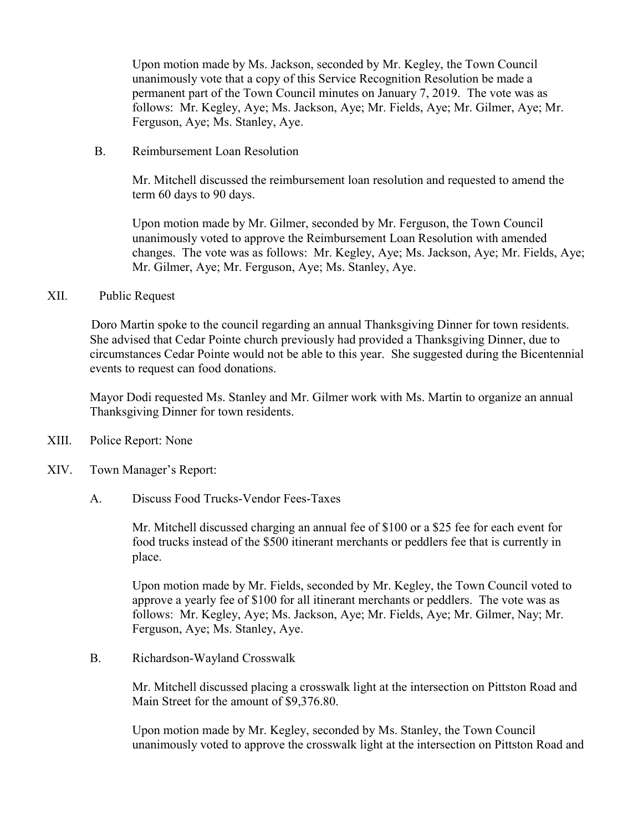Upon motion made by Ms. Jackson, seconded by Mr. Kegley, the Town Council unanimously vote that a copy of this Service Recognition Resolution be made a permanent part of the Town Council minutes on January 7, 2019. The vote was as follows: Mr. Kegley, Aye; Ms. Jackson, Aye; Mr. Fields, Aye; Mr. Gilmer, Aye; Mr. Ferguson, Aye; Ms. Stanley, Aye.

B. Reimbursement Loan Resolution

 Mr. Mitchell discussed the reimbursement loan resolution and requested to amend the term 60 days to 90 days.

 Upon motion made by Mr. Gilmer, seconded by Mr. Ferguson, the Town Council unanimously voted to approve the Reimbursement Loan Resolution with amended changes. The vote was as follows: Mr. Kegley, Aye; Ms. Jackson, Aye; Mr. Fields, Aye; Mr. Gilmer, Aye; Mr. Ferguson, Aye; Ms. Stanley, Aye.

## XII. Public Request

 Doro Martin spoke to the council regarding an annual Thanksgiving Dinner for town residents. She advised that Cedar Pointe church previously had provided a Thanksgiving Dinner, due to circumstances Cedar Pointe would not be able to this year. She suggested during the Bicentennial events to request can food donations.

 Mayor Dodi requested Ms. Stanley and Mr. Gilmer work with Ms. Martin to organize an annual Thanksgiving Dinner for town residents.

- XIII. Police Report: None
- XIV. Town Manager's Report:
	- A. Discuss Food Trucks-Vendor Fees-Taxes

Mr. Mitchell discussed charging an annual fee of \$100 or a \$25 fee for each event for food trucks instead of the \$500 itinerant merchants or peddlers fee that is currently in place.

Upon motion made by Mr. Fields, seconded by Mr. Kegley, the Town Council voted to approve a yearly fee of \$100 for all itinerant merchants or peddlers. The vote was as follows: Mr. Kegley, Aye; Ms. Jackson, Aye; Mr. Fields, Aye; Mr. Gilmer, Nay; Mr. Ferguson, Aye; Ms. Stanley, Aye.

B. Richardson-Wayland Crosswalk

Mr. Mitchell discussed placing a crosswalk light at the intersection on Pittston Road and Main Street for the amount of \$9,376.80.

Upon motion made by Mr. Kegley, seconded by Ms. Stanley, the Town Council unanimously voted to approve the crosswalk light at the intersection on Pittston Road and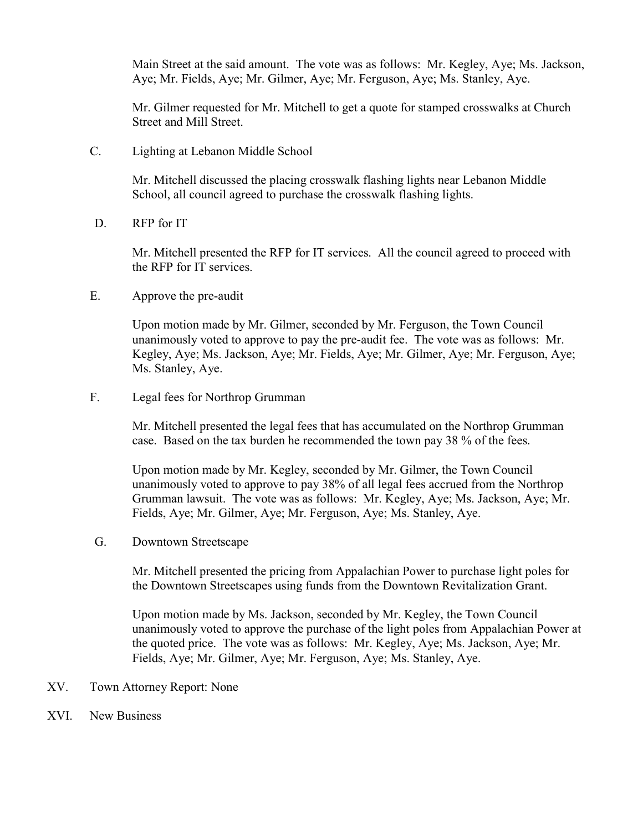Main Street at the said amount. The vote was as follows: Mr. Kegley, Aye; Ms. Jackson, Aye; Mr. Fields, Aye; Mr. Gilmer, Aye; Mr. Ferguson, Aye; Ms. Stanley, Aye.

Mr. Gilmer requested for Mr. Mitchell to get a quote for stamped crosswalks at Church Street and Mill Street.

C. Lighting at Lebanon Middle School

Mr. Mitchell discussed the placing crosswalk flashing lights near Lebanon Middle School, all council agreed to purchase the crosswalk flashing lights.

D. RFP for IT

Mr. Mitchell presented the RFP for IT services. All the council agreed to proceed with the RFP for IT services.

E. Approve the pre-audit

Upon motion made by Mr. Gilmer, seconded by Mr. Ferguson, the Town Council unanimously voted to approve to pay the pre-audit fee. The vote was as follows: Mr. Kegley, Aye; Ms. Jackson, Aye; Mr. Fields, Aye; Mr. Gilmer, Aye; Mr. Ferguson, Aye; Ms. Stanley, Aye.

F. Legal fees for Northrop Grumman

Mr. Mitchell presented the legal fees that has accumulated on the Northrop Grumman case. Based on the tax burden he recommended the town pay 38 % of the fees.

Upon motion made by Mr. Kegley, seconded by Mr. Gilmer, the Town Council unanimously voted to approve to pay 38% of all legal fees accrued from the Northrop Grumman lawsuit. The vote was as follows: Mr. Kegley, Aye; Ms. Jackson, Aye; Mr. Fields, Aye; Mr. Gilmer, Aye; Mr. Ferguson, Aye; Ms. Stanley, Aye.

G. Downtown Streetscape

Mr. Mitchell presented the pricing from Appalachian Power to purchase light poles for the Downtown Streetscapes using funds from the Downtown Revitalization Grant.

Upon motion made by Ms. Jackson, seconded by Mr. Kegley, the Town Council unanimously voted to approve the purchase of the light poles from Appalachian Power at the quoted price. The vote was as follows: Mr. Kegley, Aye; Ms. Jackson, Aye; Mr. Fields, Aye; Mr. Gilmer, Aye; Mr. Ferguson, Aye; Ms. Stanley, Aye.

- XV. Town Attorney Report: None
- XVI. New Business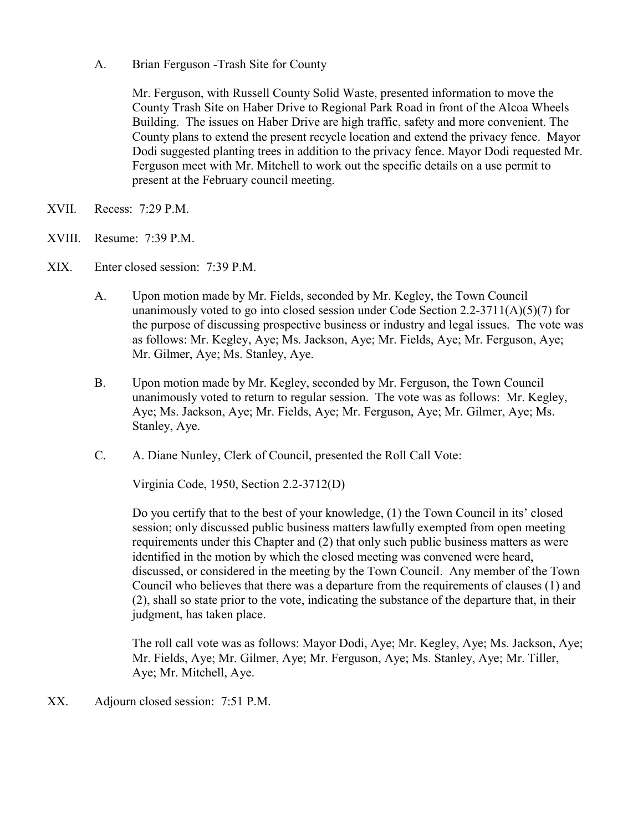A. Brian Ferguson -Trash Site for County

 Mr. Ferguson, with Russell County Solid Waste, presented information to move the County Trash Site on Haber Drive to Regional Park Road in front of the Alcoa Wheels Building. The issues on Haber Drive are high traffic, safety and more convenient. The County plans to extend the present recycle location and extend the privacy fence. Mayor Dodi suggested planting trees in addition to the privacy fence. Mayor Dodi requested Mr. Ferguson meet with Mr. Mitchell to work out the specific details on a use permit to present at the February council meeting.

- XVII. Recess: 7:29 P.M.
- XVIII. Resume: 7:39 P.M.
- XIX. Enter closed session: 7:39 P.M.
	- A. Upon motion made by Mr. Fields, seconded by Mr. Kegley, the Town Council unanimously voted to go into closed session under Code Section 2.2-3711(A)(5)(7) for the purpose of discussing prospective business or industry and legal issues. The vote was as follows: Mr. Kegley, Aye; Ms. Jackson, Aye; Mr. Fields, Aye; Mr. Ferguson, Aye; Mr. Gilmer, Aye; Ms. Stanley, Aye.
	- B. Upon motion made by Mr. Kegley, seconded by Mr. Ferguson, the Town Council unanimously voted to return to regular session. The vote was as follows: Mr. Kegley, Aye; Ms. Jackson, Aye; Mr. Fields, Aye; Mr. Ferguson, Aye; Mr. Gilmer, Aye; Ms. Stanley, Aye.
	- C. A. Diane Nunley, Clerk of Council, presented the Roll Call Vote:

Virginia Code, 1950, Section 2.2-3712(D)

 Do you certify that to the best of your knowledge, (1) the Town Council in its' closed session; only discussed public business matters lawfully exempted from open meeting requirements under this Chapter and (2) that only such public business matters as were identified in the motion by which the closed meeting was convened were heard, discussed, or considered in the meeting by the Town Council. Any member of the Town Council who believes that there was a departure from the requirements of clauses (1) and (2), shall so state prior to the vote, indicating the substance of the departure that, in their judgment, has taken place.

 The roll call vote was as follows: Mayor Dodi, Aye; Mr. Kegley, Aye; Ms. Jackson, Aye; Mr. Fields, Aye; Mr. Gilmer, Aye; Mr. Ferguson, Aye; Ms. Stanley, Aye; Mr. Tiller, Aye; Mr. Mitchell, Aye.

XX. Adjourn closed session: 7:51 P.M.